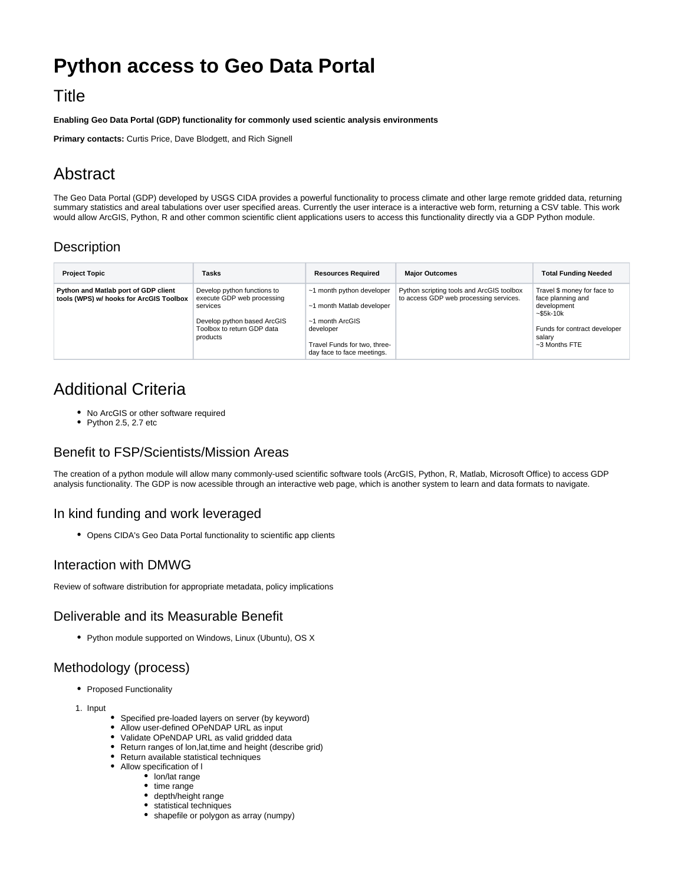# **Python access to Geo Data Portal**

### **Title**

**Enabling Geo Data Portal (GDP) functionality for commonly used scientic analysis environments**

**Primary contacts:** Curtis Price, Dave Blodgett, and Rich Signell

# Abstract

The Geo Data Portal (GDP) developed by USGS CIDA provides a powerful functionality to process climate and other large remote gridded data, returning summary statistics and areal tabulations over user specified areas. Currently the user interace is a interactive web form, returning a CSV table. This work would allow ArcGIS, Python, R and other common scientific client applications users to access this functionality directly via a GDP Python module.

### **Description**

| <b>Project Topic</b>                                                            | Tasks                                                                                                                                          | <b>Resources Required</b>                                                                                                                            | <b>Major Outcomes</b>                                                               | <b>Total Funding Needed</b>                                                                                                                   |
|---------------------------------------------------------------------------------|------------------------------------------------------------------------------------------------------------------------------------------------|------------------------------------------------------------------------------------------------------------------------------------------------------|-------------------------------------------------------------------------------------|-----------------------------------------------------------------------------------------------------------------------------------------------|
| Python and Matlab port of GDP client<br>tools (WPS) w/ hooks for ArcGIS Toolbox | Develop python functions to<br>execute GDP web processing<br>services<br>Develop python based ArcGIS<br>Toolbox to return GDP data<br>products | ~1 month python developer<br>~1 month Matlab developer<br>~1 month ArcGIS<br>developer<br>Travel Funds for two, three-<br>day face to face meetings. | Python scripting tools and ArcGIS toolbox<br>to access GDP web processing services. | Travel \$ money for face to<br>face planning and<br>development<br>$-$ \$5k-10 $k$<br>Funds for contract developer<br>salarv<br>~3 Months FTE |

## Additional Criteria

- No ArcGIS or other software required
- $\bullet$  Python 2.5, 2.7 etc

#### Benefit to FSP/Scientists/Mission Areas

The creation of a python module will allow many commonly-used scientific software tools (ArcGIS, Python, R, Matlab, Microsoft Office) to access GDP analysis functionality. The GDP is now acessible through an interactive web page, which is another system to learn and data formats to navigate.

#### In kind funding and work leveraged

Opens CIDA's Geo Data Portal functionality to scientific app clients

#### Interaction with DMWG

Review of software distribution for appropriate metadata, policy implications

#### Deliverable and its Measurable Benefit

Python module supported on Windows, Linux (Ubuntu), OS X

### Methodology (process)

- Proposed Functionality
- 1. Input
- Specified pre-loaded layers on server (by keyword)
- Allow user-defined OPeNDAP URL as input
- Validate OPeNDAP URL as valid gridded data Return ranges of lon,lat,time and height (describe grid)
- Return available statistical techniques
- Allow specification of l
	- lon/lat range
	- time range
	- depth/height range
	- statistical techniques
	- shapefile or polygon as array (numpy)